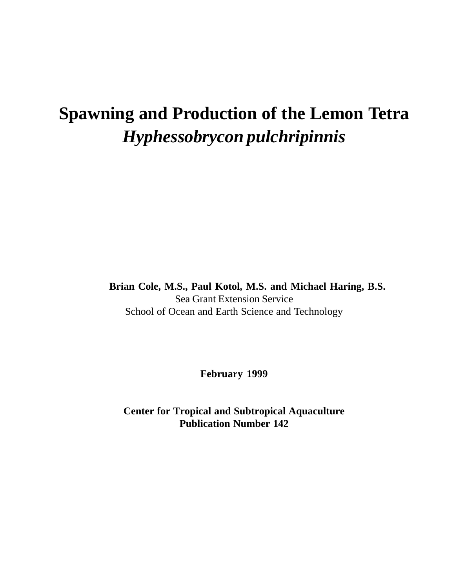## **Spawning and Production of the Lemon Tetra** *Hyphessobrycon pulchripinnis*

**Brian Cole, M.S., Paul Kotol, M.S. and Michael Haring, B.S.** Sea Grant Extension Service School of Ocean and Earth Science and Technology

**February 1999**

**Center for Tropical and Subtropical Aquaculture Publication Number 142**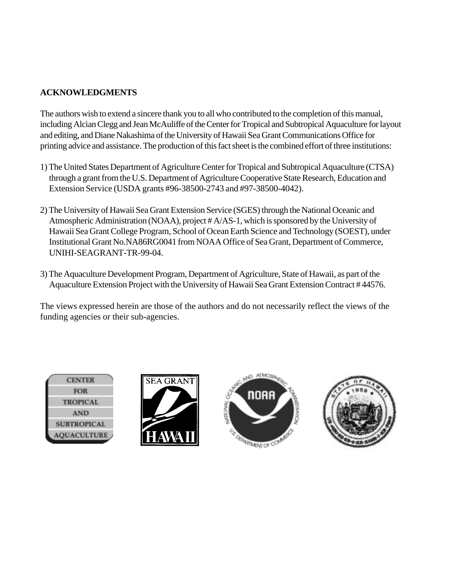#### **ACKNOWLEDGMENTS**

The authors wish to extend a sincere thank you to all who contributed to the completion of this manual, including Alcian Clegg and Jean McAuliffe of the Center for Tropical and Subtropical Aquaculture for layout and editing, and Diane Nakashima of the University of Hawaii Sea Grant Communications Office for printing advice and assistance. The production of this fact sheet is the combined effort of three institutions:

- 1) The United States Department of Agriculture Center for Tropical and Subtropical Aquaculture (CTSA) through a grant from the U.S. Department of Agriculture Cooperative State Research, Education and Extension Service (USDA grants #96-38500-2743 and #97-38500-4042).
- 2) The University of Hawaii Sea Grant Extension Service (SGES) through the National Oceanic and Atmospheric Administration (NOAA), project # A/AS-1, which is sponsored by the University of Hawaii Sea Grant College Program, School of Ocean Earth Science and Technology (SOEST), under Institutional Grant No.NA86RG0041 from NOAA Office of Sea Grant, Department of Commerce, UNIHI-SEAGRANT-TR-99-04.
- 3) The Aquaculture Development Program, Department of Agriculture, State of Hawaii, as part of the Aquaculture Extension Project with the University of Hawaii Sea Grant Extension Contract # 44576.

The views expressed herein are those of the authors and do not necessarily reflect the views of the funding agencies or their sub-agencies.

| <b>CENTER</b>      |
|--------------------|
| <b>FOR</b>         |
| <b>TROPICAL</b>    |
| AND                |
| <b>SUBTROPICAL</b> |
| <b>AQUACULTURE</b> |





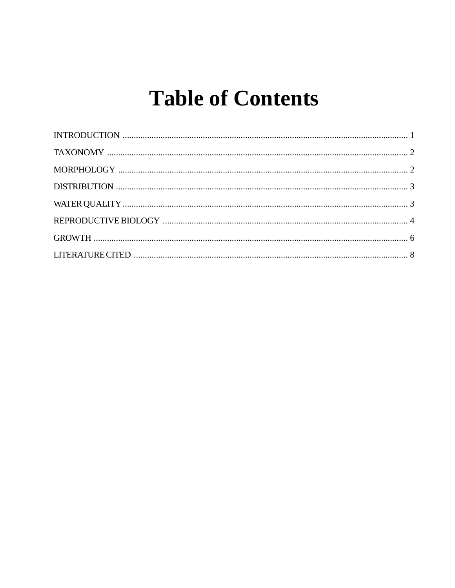# **Table of Contents**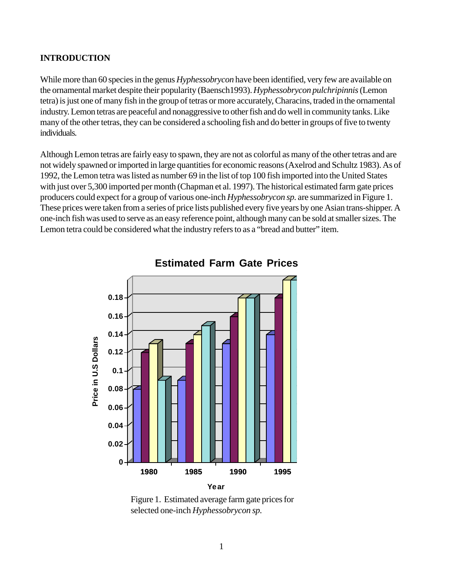#### **INTRODUCTION**

While more than 60 species in the genus *Hyphessobrycon* have been identified, very few are available on the ornamental market despite their popularity (Baensch1993). *Hyphessobrycon pulchripinnis* (Lemon tetra) is just one of many fish in the group of tetras or more accurately, Characins, traded in the ornamental industry. Lemon tetras are peaceful and nonaggressive to other fish and do well in community tanks. Like many of the other tetras, they can be considered a schooling fish and do better in groups of five to twenty individuals.

Although Lemon tetras are fairly easy to spawn, they are not as colorful as many of the other tetras and are not widely spawned or imported in large quantities for economic reasons (Axelrod and Schultz 1983). As of 1992, the Lemon tetra was listed as number 69 in the list of top 100 fish imported into the United States with just over 5,300 imported per month (Chapman et al. 1997). The historical estimated farm gate prices producers could expect for a group of various one-inch *Hyphessobrycon sp.* are summarized in Figure 1. These prices were taken from a series of price lists published every five years by one Asian trans-shipper. A one-inch fish was used to serve as an easy reference point, although many can be sold at smaller sizes. The Lemon tetra could be considered what the industry refers to as a "bread and butter" item.



### **Estimated Farm Gate Prices**

Figure 1. Estimated average farm gate prices for selected one-inch *Hyphessobrycon sp.*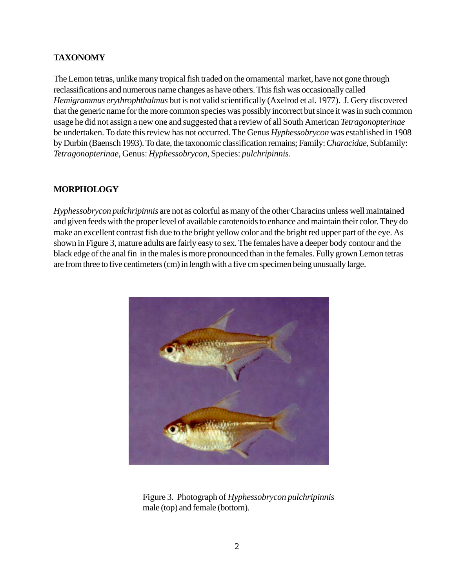#### **TAXONOMY**

The Lemon tetras, unlike many tropical fish traded on the ornamental market, have not gone through reclassifications and numerous name changes as have others. This fish was occasionally called *Hemigrammus erythrophthalmus* but is not valid scientifically (Axelrod et al. 1977). J. Gery discovered that the generic name for the more common species was possibly incorrect but since it was in such common usage he did not assign a new one and suggested that a review of all South American *Tetragonopterinae* be undertaken. To date this review has not occurred. The Genus *Hyphessobrycon* was established in 1908 by Durbin (Baensch 1993). To date, the taxonomic classification remains; Family: *Characidae*, Subfamily: *Tetragonopterinae*, Genus: *Hyphessobrycon*, Species: *pulchripinnis*.

#### **MORPHOLOGY**

*Hyphessobrycon pulchripinnis* are not as colorful as many of the other Characins unless well maintained and given feeds with the proper level of available carotenoids to enhance and maintain their color. They do make an excellent contrast fish due to the bright yellow color and the bright red upper part of the eye. As shown in Figure 3, mature adults are fairly easy to sex. The females have a deeper body contour and the black edge of the anal fin in the males is more pronounced than in the females. Fully grown Lemon tetras are from three to five centimeters (cm) in length with a five cm specimen being unusually large.



Figure 3. Photograph of *Hyphessobrycon pulchripinnis* male (top) and female (bottom)*.*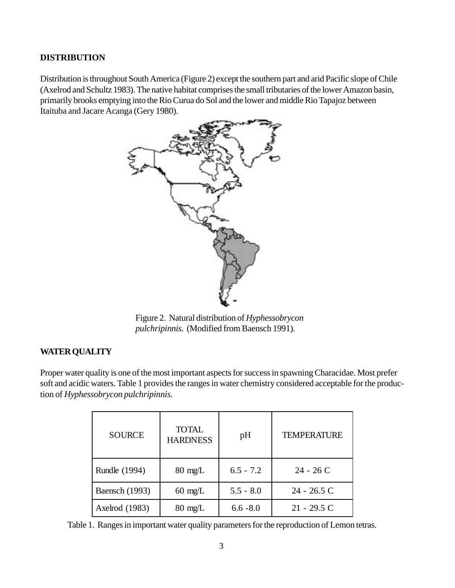#### **DISTRIBUTION**

Distribution is throughout South America (Figure 2) except the southern part and arid Pacific slope of Chile (Axelrod and Schultz 1983). The native habitat comprises the small tributaries of the lower Amazon basin, primarily brooks emptying into the Rio Curua do Sol and the lower and middle Rio Tapajoz between Itaituba and Jacare Acanga (Gery 1980).



Figure 2. Natural distribution of *Hyphessobrycon pulchripinnis*. (Modified from Baensch 1991).

#### **WATER QUALITY**

Proper water quality is one of the most important aspects for success in spawning Characidae. Most prefer soft and acidic waters. Table 1 provides the ranges in water chemistry considered acceptable for the production of *Hyphessobrycon pulchripinnis*.

| <b>SOURCE</b>         | <b>TOTAL</b><br><b>HARDNESS</b> | pH          | <b>TEMPERATURE</b> |
|-----------------------|---------------------------------|-------------|--------------------|
| Rundle (1994)         | $80 \text{ mg/L}$               | $6.5 - 7.2$ | $24 - 26$ C        |
| <b>Baensch</b> (1993) | $60 \text{ mg/L}$               | $5.5 - 8.0$ | 24 - 26.5 C        |
| Axelrod (1983)        | $80 \text{ mg/L}$               | $6.6 - 8.0$ | $21 - 29.5$ C      |

Table 1. Ranges in important water quality parameters for the reproduction of Lemon tetras.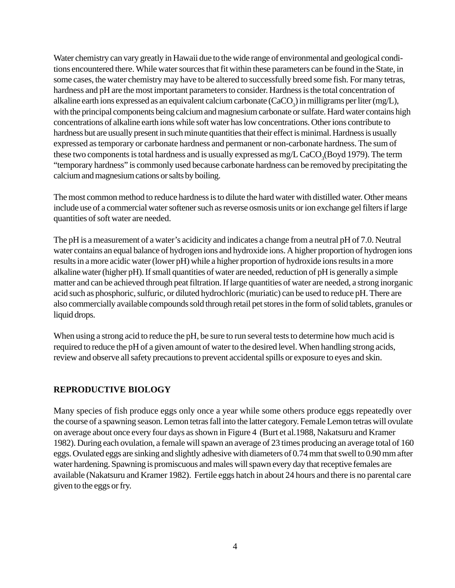Water chemistry can vary greatly in Hawaii due to the wide range of environmental and geological conditions encountered there. While water sources that fit within these parameters can be found in the State, in some cases, the water chemistry may have to be altered to successfully breed some fish. For many tetras, hardness and pH are the most important parameters to consider. Hardness is the total concentration of alkaline earth ions expressed as an equivalent calcium carbonate (CaCO<sub>3</sub>) in milligrams per liter (mg/L), with the principal components being calcium and magnesium carbonate or sulfate. Hard water contains high concentrations of alkaline earth ions while soft water has low concentrations. Other ions contribute to hardness but are usually present in such minute quantities that their effect is minimal. Hardness is usually expressed as temporary or carbonate hardness and permanent or non-carbonate hardness. The sum of these two components is total hardness and is usually expressed as  ${\rm mg/L}$   ${\rm CaCO_3(Boyd}$  1979). The term "temporary hardness" is commonly used because carbonate hardness can be removed by precipitating the calcium and magnesium cations or salts by boiling.

The most common method to reduce hardness is to dilute the hard water with distilled water. Other means include use of a commercial water softener such as reverse osmosis units or ion exchange gel filters if large quantities of soft water are needed.

The pH is a measurement of a water's acidicity and indicates a change from a neutral pH of 7.0. Neutral water contains an equal balance of hydrogen ions and hydroxide ions. A higher proportion of hydrogen ions results in a more acidic water (lower pH) while a higher proportion of hydroxide ions results in a more alkaline water (higher pH). If small quantities of water are needed, reduction of pH is generally a simple matter and can be achieved through peat filtration. If large quantities of water are needed, a strong inorganic acid such as phosphoric, sulfuric, or diluted hydrochloric (muriatic) can be used to reduce pH. There are also commercially available compounds sold through retail pet stores in the form of solid tablets, granules or liquid drops.

When using a strong acid to reduce the pH, be sure to run several tests to determine how much acid is required to reduce the pH of a given amount of water to the desired level. When handling strong acids, review and observe all safety precautions to prevent accidental spills or exposure to eyes and skin.

#### **REPRODUCTIVE BIOLOGY**

Many species of fish produce eggs only once a year while some others produce eggs repeatedly over the course of a spawning season. Lemon tetras fall into the latter category. Female Lemon tetras will ovulate on average about once every four days as shown in Figure 4 (Burt et al.1988, Nakatsuru and Kramer 1982). During each ovulation, a female will spawn an average of 23 times producing an average total of 160 eggs. Ovulated eggs are sinking and slightly adhesive with diameters of 0.74 mm that swell to 0.90 mm after water hardening. Spawning is promiscuous and males will spawn every day that receptive females are available (Nakatsuru and Kramer 1982). Fertile eggs hatch in about 24 hours and there is no parental care given to the eggs or fry.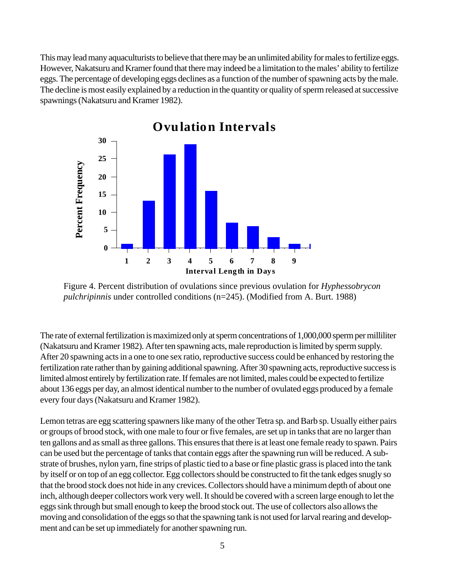This may lead many aquaculturists to believe that there may be an unlimited ability for males to fertilize eggs. However, Nakatsuru and Kramer found that there may indeed be a limitation to the males' ability to fertilize eggs. The percentage of developing eggs declines as a function of the number of spawning acts by the male. The decline is most easily explained by a reduction in the quantity or quality of sperm released at successive spawnings (Nakatsuru and Kramer 1982).



Figure 4. Percent distribution of ovulations since previous ovulation for *Hyphessobrycon pulchripinnis* under controlled conditions (n=245). (Modified from A. Burt. 1988)

The rate of external fertilization is maximized only at sperm concentrations of 1,000,000 sperm per milliliter (Nakatsuru and Kramer 1982). After ten spawning acts, male reproduction is limited by sperm supply. After 20 spawning acts in a one to one sex ratio, reproductive success could be enhanced by restoring the fertilization rate rather than by gaining additional spawning. After 30 spawning acts, reproductive success is limited almost entirely by fertilization rate. If females are not limited, males could be expected to fertilize about 136 eggs per day, an almost identical number to the number of ovulated eggs produced by a female every four days (Nakatsuru and Kramer 1982).

Lemon tetras are egg scattering spawners like many of the other Tetra sp. and Barb sp. Usually either pairs or groups of brood stock, with one male to four or five females, are set up in tanks that are no larger than ten gallons and as small as three gallons. This ensures that there is at least one female ready to spawn. Pairs can be used but the percentage of tanks that contain eggs after the spawning run will be reduced. A substrate of brushes, nylon yarn, fine strips of plastic tied to a base or fine plastic grass is placed into the tank by itself or on top of an egg collector. Egg collectors should be constructed to fit the tank edges snugly so that the brood stock does not hide in any crevices. Collectors should have a minimum depth of about one inch, although deeper collectors work very well. It should be covered with a screen large enough to let the eggs sink through but small enough to keep the brood stock out. The use of collectors also allows the moving and consolidation of the eggs so that the spawning tank is not used for larval rearing and development and can be set up immediately for another spawning the set up immediately for another and can be set up immediately for another and can be set up immediately for another and can be set and the set and be set up immedi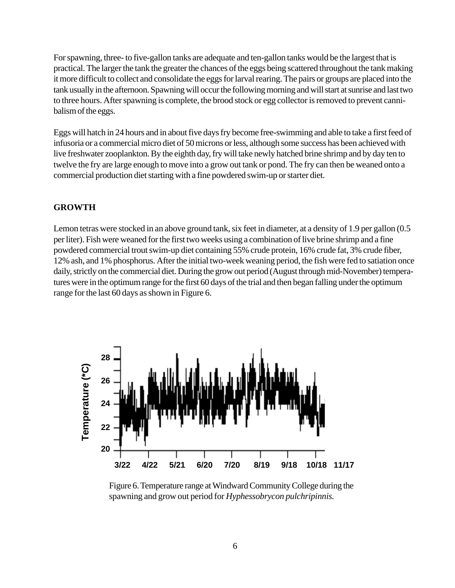For spawning, three- to five-gallon tanks are adequate and ten-gallon tanks would be the largest that is practical. The larger the tank the greater the chances of the eggs being scattered throughout the tank making it more difficult to collect and consolidate the eggs for larval rearing. The pairs or groups are placed into the tank usually in the afternoon. Spawning will occur the following morning and will start at sunrise and last two to three hours. After spawning is complete, the brood stock or egg collector is removed to prevent cannibalism of the eggs.

Eggs will hatch in 24 hours and in about five days fry become free-swimming and able to take a first feed of infusoria or a commercial micro diet of 50 microns or less, although some success has been achieved with live freshwater zooplankton. By the eighth day, fry will take newly hatched brine shrimp and by day ten to twelve the fry are large enough to move into a grow out tank or pond. The fry can then be weaned onto a commercial production diet starting with a fine powdered swim-up or starter diet.

#### **GROWTH**

Lemon tetras were stocked in an above ground tank, six feet in diameter, at a density of 1.9 per gallon (0.5 per liter). Fish were weaned for the first two weeks using a combination of live brine shrimp and a fine powdered commercial trout swim-up diet containing 55% crude protein, 16% crude fat, 3% crude fiber, 12% ash, and 1% phosphorus. After the initial two-week weaning period, the fish were fed to satiation once daily, strictly on the commercial diet. During the grow out period (August through mid-November) temperatures were in the optimum range for the first 60 days of the trial and then began falling under the optimum range for the last 60 days as shown in Figure 6.



Figure 6. Temperature range at Windward Community College during the spawning and grow out period for *Hyphessobrycon pulchripinnis.*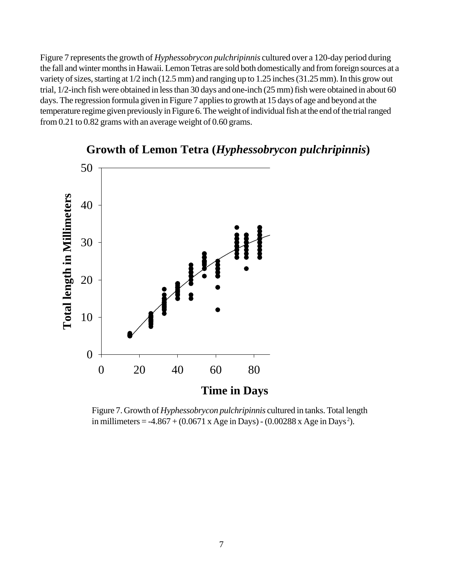Figure 7 represents the growth of *Hyphessobrycon pulchripinnis* cultured over a 120-day period during the fall and winter months in Hawaii. Lemon Tetras are sold both domestically and from foreign sources at a variety of sizes, starting at 1/2 inch (12.5 mm) and ranging up to 1.25 inches (31.25 mm). In this grow out trial, 1/2-inch fish were obtained in less than 30 days and one-inch (25 mm) fish were obtained in about 60 days. The regression formula given in Figure 7 applies to growth at 15 days of age and beyond at the temperature regime given previously in Figure 6. The weight of individual fish at the end of the trial ranged from 0.21 to 0.82 grams with an average weight of 0.60 grams.



**Growth of Lemon Tetra (***Hyphessobrycon pulchripinnis***)**

Figure 7. Growth of *Hyphessobrycon pulchripinnis* cultured in tanks. Total length in millimeters =  $-4.867 + (0.0671 \text{ x Age in Days}) - (0.00288 \text{ x Age in Days}^2)$ .